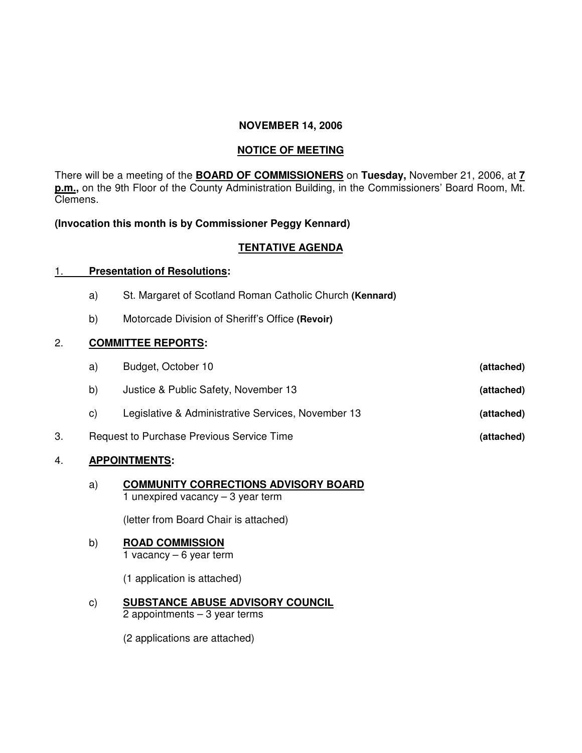## **NOVEMBER 14, 2006**

### **NOTICE OF MEETING**

There will be a meeting of the **BOARD OF COMMISSIONERS** on **Tuesday,** November 21, 2006, at **7 p.m.,** on the 9th Floor of the County Administration Building, in the Commissioners' Board Room, Mt. Clemens.

## **(Invocation this month is by Commissioner Peggy Kennard)**

## **TENTATIVE AGENDA**

#### 1. **Presentation of Resolutions:**

- a) St. Margaret of Scotland Roman Catholic Church **(Kennard)**
- b) Motorcade Division of Sheriff's Office **(Revoir)**

## 2. **COMMITTEE REPORTS:**

| a)                                        | Budget, October 10                                 | (attached) |
|-------------------------------------------|----------------------------------------------------|------------|
| b)                                        | Justice & Public Safety, November 13               | (attached) |
| C)                                        | Legislative & Administrative Services, November 13 | (attached) |
| Request to Purchase Previous Service Time |                                                    | (attached) |

# 4. **APPOINTMENTS:**

a) **COMMUNITY CORRECTIONS ADVISORY BOARD** 1 unexpired vacancy – 3 year term

(letter from Board Chair is attached)

#### b) **ROAD COMMISSION**

1 vacancy – 6 year term

(1 application is attached)

c) **SUBSTANCE ABUSE ADVISORY COUNCIL** 2 appointments – 3 year terms

(2 applications are attached)